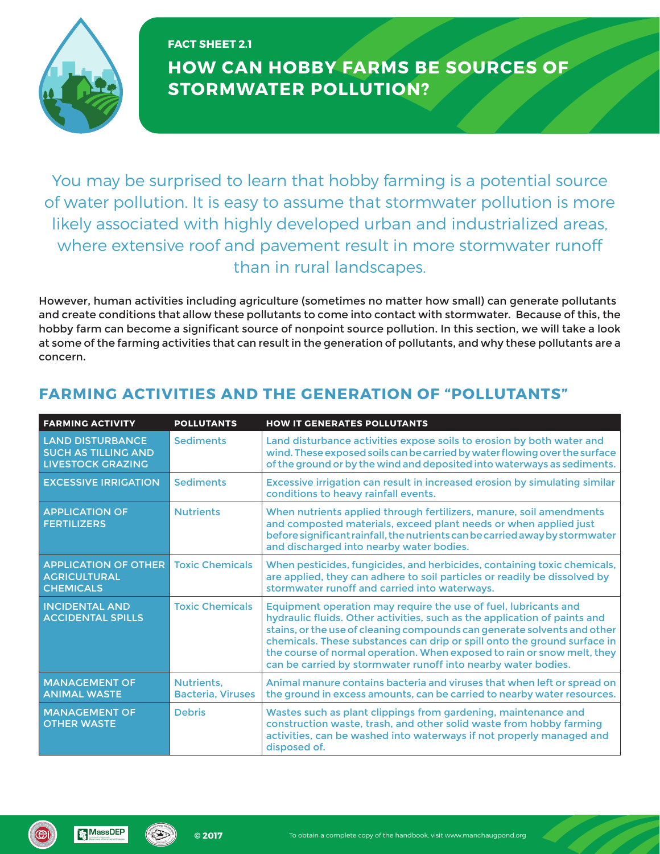

## **HOW CAN HOBBY FARMS BE SOURCES OF STORMWATER POLLUTION? FACT SHEET 2.1**

You may be surprised to learn that hobby farming is a potential source of water pollution. It is easy to assume that stormwater pollution is more likely associated with highly developed urban and industrialized areas, where extensive roof and pavement result in more stormwater runoff than in rural landscapes.

However, human activities including agriculture (sometimes no matter how small) can generate pollutants and create conditions that allow these pollutants to come into contact with stormwater. Because of this, the hobby farm can become a significant source of nonpoint source pollution. In this section, we will take a look at some of the farming activities that can result in the generation of pollutants, and why these pollutants are a concern.

| <b>FARMING ACTIVITY</b>                                                           | <b>POLLUTANTS</b>                      | <b>HOW IT GENERATES POLLUTANTS</b>                                                                                                                                                                                                                                                                                                                                                                                                               |
|-----------------------------------------------------------------------------------|----------------------------------------|--------------------------------------------------------------------------------------------------------------------------------------------------------------------------------------------------------------------------------------------------------------------------------------------------------------------------------------------------------------------------------------------------------------------------------------------------|
| <b>LAND DISTURBANCE</b><br><b>SUCH AS TILLING AND</b><br><b>LIVESTOCK GRAZING</b> | <b>Sediments</b>                       | Land disturbance activities expose soils to erosion by both water and<br>wind. These exposed soils can be carried by water flowing over the surface<br>of the ground or by the wind and deposited into waterways as sediments.                                                                                                                                                                                                                   |
| <b>EXCESSIVE IRRIGATION</b>                                                       | <b>Sediments</b>                       | Excessive irrigation can result in increased erosion by simulating similar<br>conditions to heavy rainfall events.                                                                                                                                                                                                                                                                                                                               |
| <b>APPLICATION OF</b><br><b>FERTILIZERS</b>                                       | <b>Nutrients</b>                       | When nutrients applied through fertilizers, manure, soil amendments<br>and composted materials, exceed plant needs or when applied just<br>before significant rainfall, the nutrients can be carried away by stormwater<br>and discharged into nearby water bodies.                                                                                                                                                                              |
| <b>APPLICATION OF OTHER</b><br><b>AGRICULTURAL</b><br><b>CHEMICALS</b>            | <b>Toxic Chemicals</b>                 | When pesticides, fungicides, and herbicides, containing toxic chemicals,<br>are applied, they can adhere to soil particles or readily be dissolved by<br>stormwater runoff and carried into waterways.                                                                                                                                                                                                                                           |
| <b>INCIDENTAL AND</b><br><b>ACCIDENTAL SPILLS</b>                                 | <b>Toxic Chemicals</b>                 | Equipment operation may require the use of fuel, lubricants and<br>hydraulic fluids. Other activities, such as the application of paints and<br>stains, or the use of cleaning compounds can generate solvents and other<br>chemicals. These substances can drip or spill onto the ground surface in<br>the course of normal operation. When exposed to rain or snow melt, they<br>can be carried by stormwater runoff into nearby water bodies. |
| <b>MANAGEMENT OF</b><br><b>ANIMAL WASTE</b>                                       | Nutrients.<br><b>Bacteria, Viruses</b> | Animal manure contains bacteria and viruses that when left or spread on<br>the ground in excess amounts, can be carried to nearby water resources.                                                                                                                                                                                                                                                                                               |
| <b>MANAGEMENT OF</b><br><b>OTHER WASTE</b>                                        | <b>Debris</b>                          | Wastes such as plant clippings from gardening, maintenance and<br>construction waste, trash, and other solid waste from hobby farming<br>activities, can be washed into waterways if not properly managed and<br>disposed of.                                                                                                                                                                                                                    |

## **FARMING ACTIVITIES AND THE GENERATION OF "POLLUTANTS"**